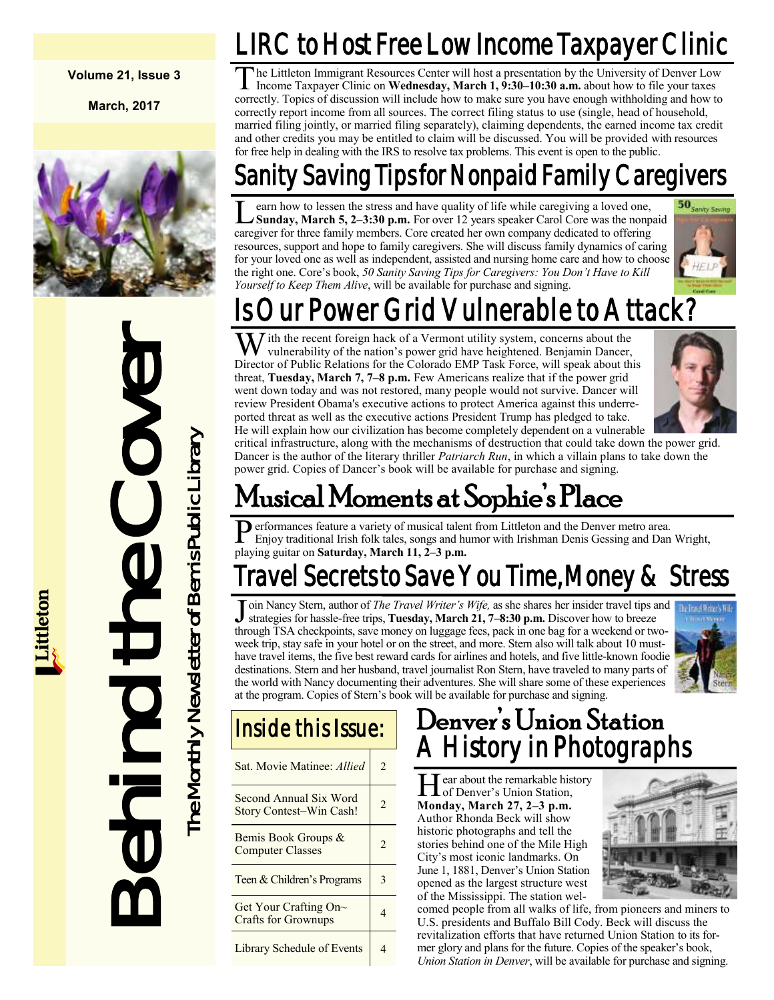#### **Volume 21, Issue 3**

**March, 2017**



Behind the Cover The Monthly Newsletter of Bemis Public Library he Monthly Newsletter of Bemis Public Library

# LIRC to Host Free Low Income Taxpayer Clinic

 $\overline{T}$ he Littleton Immigrant Resources Center will host a presentation by the University of Denver Low Income Taxpayer Clinic on **Wednesday, March 1, 9:30–10:30 a.m.** about how to file your taxes correctly. Topics of discussion will include how to make sure you have enough withholding and how to correctly report income from all sources. The correct filing status to use (single, head of household, married filing jointly, or married filing separately), claiming dependents, the earned income tax credit and other credits you may be entitled to claim will be discussed. You will be provided with resources for free help in dealing with the IRS to resolve tax problems. This event is open to the public.

### Saving Tips for Nonpaid Family Caregivers

 $\overline{\mathsf{L}}$ earn how to lessen the stress and have quality of life while caregiving a loved one, **Sunday, March 5, 2–3:30 p.m.** For over 12 years speaker Carol Core was the nonpaid caregiver for three family members. Core created her own company dedicated to offering resources, support and hope to family caregivers. She will discuss family dynamics of caring for your loved one as well as independent, assisted and nursing home care and how to choose the right one. Core's book, *50 Sanity Saving Tips for Caregivers: You Don't Have to Kill Yourself to Keep Them Alive*, will be available for purchase and signing.



# ur Power Grid Vulnerable to Attack?

W ith the recent foreign hack of a Vermont utility system, concerns about the vulnerability of the nation's power grid have heightened. Benjamin Dancer, Director of Public Relations for the Colorado EMP Task Force, will speak about this threat, **Tuesday, March 7, 7–8 p.m.** Few Americans realize that if the power grid went down today and was not restored, many people would not survive. Dancer will review President Obama's executive actions to protect America against this underreported threat as well as the executive actions President Trump has pledged to take. He will explain how our civilization has become completely dependent on a vulnerable



critical infrastructure, along with the mechanisms of destruction that could take down the power grid. Dancer is the author of the literary thriller *Patriarch Run*, in which a villain plans to take down the power grid. Copies of Dancer's book will be available for purchase and signing.

# Musical Moments at Sophie's Place

**P** erformances feature a variety of musical taler<br>Enjoy traditional Irish folk tales, songs and h<br>playing guitar on **Saturday, March 11, 2–3 p.m.** erformances feature a variety of musical talent from Littleton and the Denver metro area. Enjoy traditional Irish folk tales, songs and humor with Irishman Denis Gessing and Dan Wright,

# Travel Secrets to Save You Time, Money & Stress

J oin Nancy Stern, author of *The Travel Writer's Wife*, as she shares her insider travel tips and strategies for hassle-free trips, **Tuesday, March 21, 7–8:30** p.m. Discover how to breeze strategies for hassle-free trips, **Tuesday, March 21, 7–8:30 p.m.** Discover how to breeze through TSA checkpoints, save money on luggage fees, pack in one bag for a weekend or twoweek trip, stay safe in your hotel or on the street, and more. Stern also will talk about 10 musthave travel items, the five best reward cards for airlines and hotels, and five little-known foodie destinations. Stern and her husband, travel journalist Ron Stern, have traveled to many parts of the world with Nancy documenting their adventures. She will share some of these experiences at the program. Copies of Stern's book will be available for purchase and signing.



### Inside this Issue:

| Sat. Movie Matinee: Allied                                | $\overline{c}$ |
|-----------------------------------------------------------|----------------|
| Second Annual Six Word<br><b>Story Contest-Win Cash!</b>  | $\overline{c}$ |
| Bemis Book Groups &<br><b>Computer Classes</b>            | $\mathfrak{D}$ |
| Teen & Children's Programs                                | 3              |
| Get Your Crafting On $\sim$<br><b>Crafts for Grownups</b> | 4              |
| Library Schedule of Events                                |                |

### Denver's Union Station **History in Photographs**

Hear about the remarkable hist<br>of Denver's Union Station, ear about the remarkable history **Monday, March 27, 2–3 p.m.** Author Rhonda Beck will show historic photographs and tell the stories behind one of the Mile High City's most iconic landmarks. On June 1, 1881, Denver's Union Station opened as the largest structure west of the Mississippi. The station wel-



comed people from all walks of life, from pioneers and miners to U.S. presidents and Buffalo Bill Cody. Beck will discuss the revitalization efforts that have returned Union Station to its former glory and plans for the future. Copies of the speaker's book, *Union Station in Denver*, will be available for purchase and signing.

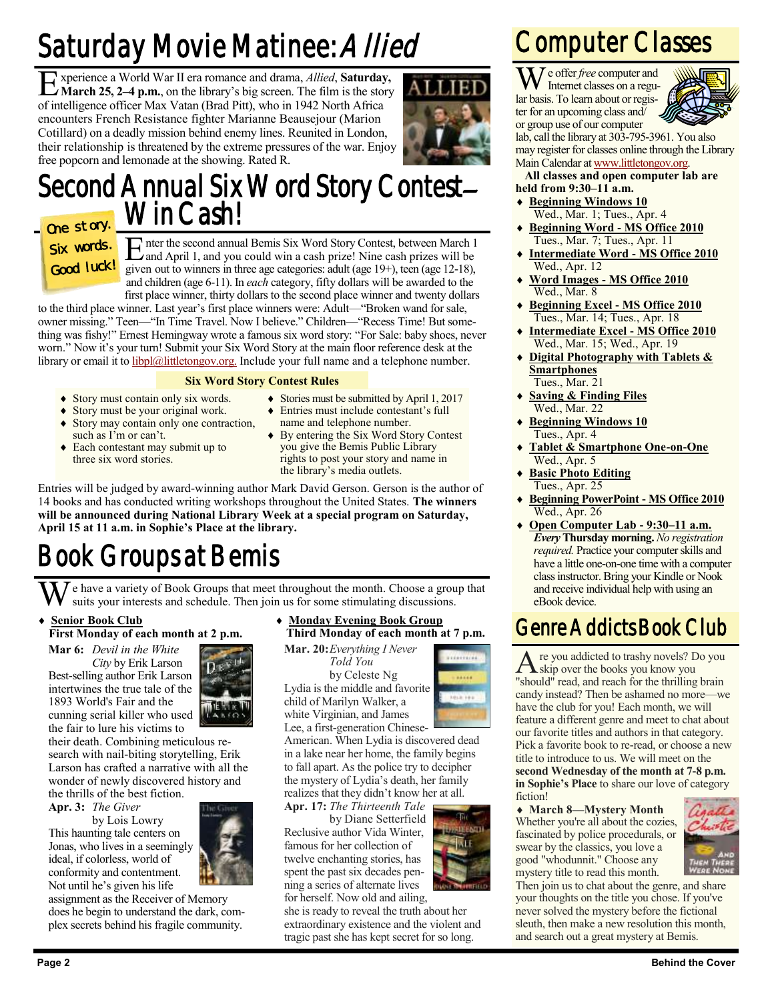# Saturday Movie Matinee: Allied

Experience a World War II era romance and drama, *Allied*, **Saturday, March 25, 2-4 p.m.**, on the library's big screen. The film is the story **March 25, 2–4 p.m.**, on the library's big screen. The film is the story of intelligence officer Max Vatan (Brad Pitt), who in 1942 North Africa encounters French Resistance fighter Marianne Beausejour (Marion Cotillard) on a deadly mission behind enemy lines. Reunited in London, their relationship is threatened by the extreme pressures of the war. Enjoy free popcorn and lemonade at the showing. Rated R.



### Second Annual Six Word Story Contest-Win Cash! One story.

### Six words. Good luck!

E and April 1, and you could win a cash prize! Nine cash prizes will be nter the second annual Bemis Six Word Story Contest, between March 1 given out to winners in three age categories: adult (age 19+), teen (age 12-18), and children (age 6-11). In *each* category, fifty dollars will be awarded to the first place winner, thirty dollars to the second place winner and twenty dollars

to the third place winner. Last year's first place winners were: Adult—"Broken wand for sale, owner missing." Teen—"In Time Travel. Now I believe." Children—"Recess Time! But something was fishy!" Ernest Hemingway wrote a famous six word story: "For Sale: baby shoes, never worn." Now it's your turn! Submit your Six Word Story at the main floor reference desk at the library or email it to [libpl@littletongov.org.](mailto:libpl@littletongov.org.) Include your full name and a telephone number.

#### **Six Word Story Contest Rules**

- Story must contain only six words.
- Stories must be submitted by April 1, 2017 Entries must include contestant's full

the library's media outlets.

- Story must be your original work.
- Story may contain only one contraction, such as I'm or can't.
- Each contestant may submit up to three six word stories.
- name and telephone number. ◆ By entering the Six Word Story Contest you give the Bemis Public Library rights to post your story and name in

Entries will be judged by award-winning author Mark David Gerson. Gerson is the author of 14 books and has conducted writing workshops throughout the United States. **The winners will be announced during National Library Week at a special program on Saturday, April 15 at 11 a.m. in Sophie's Place at the library.**

# Book Groups at Bemis

e have a variety of Book Groups that meet throughout the month. Choose a group that suits your interests and schedule. Then join us for some stimulating discussions.

#### **Senior Book Club First Monday of each month at 2 p.m.**

**Mar 6:** *Devil in the White City* by Erik Larson Best-selling author Erik Larson intertwines the true tale of the 1893 World's Fair and the cunning serial killer who used the fair to lure his victims to

their death. Combining meticulous research with nail-biting storytelling, Erik Larson has crafted a narrative with all the wonder of newly discovered history and the thrills of the best fiction.

**Apr. 3:** *The Giver*

by Lois Lowry This haunting tale centers on Jonas, who lives in a seemingly ideal, if colorless, world of conformity and contentment. Not until he's given his life

assignment as the Receiver of Memory does he begin to understand the dark, complex secrets behind his fragile community.

#### **Monday Evening Book Group Third Monday of each month at 7 p.m.**

**Mar. 20:***Everything I Never*

*Told You* by Celeste Ng Lydia is the middle and favorite child of Marilyn Walker, a white Virginian, and James



**ISIEENTI WLE** 

Lee, a first-generation Chinese-American. When Lydia is discovered dead in a lake near her home, the family begins to fall apart. As the police try to decipher the mystery of Lydia's death, her family realizes that they didn't know her at all.

**Apr. 17:** *The Thirteenth Tale* by Diane Setterfield Reclusive author Vida Winter, famous for her collection of twelve enchanting stories, has spent the past six decades penning a series of alternate lives for herself. Now old and ailing,

she is ready to reveal the truth about her extraordinary existence and the violent and tragic past she has kept secret for so long.

### Computer Classes

We offer *free* computer and Internet classes on a regular basis. To learn about or register for an upcoming class and/ or group use of our computer



lab, call the library at 303-795-3961. You also may register for classes online through the Library Main Calendar at [www.littletongov.org.](http://www.littletongov.org/city-services/city-departments/bemis-library/library-events-calendar/-curm-3/-cury-2017)

#### **All classes and open computer lab are held from 9:30–11 a.m.**

- **Beginning Windows 10** Wed., Mar. 1; Tues., Apr. 4
- **Beginning Word - MS Office 2010** Tues., Mar. 7; Tues., Apr. 11
- **Intermediate Word - MS Office 2010** Wed., Apr. 12
- **Word Images - MS Office 2010** Wed., Mar. 8
- **Beginning Excel - MS Office 2010** Tues., Mar. 14; Tues., Apr. 18
- **Intermediate Excel - MS Office 2010** Wed., Mar. 15; Wed., Apr. 19
- **Digital Photography with Tablets & Smartphones** Tues., Mar. 21
- **Saving & Finding Files** Wed., Mar. 22
- **Beginning Windows 10** Tues., Apr. 4
- **Tablet & Smartphone One-on-One** Wed., Apr. 5
- **Basic Photo Editing** Tues., Apr. 25
- **Beginning PowerPoint - MS Office 2010** Wed., Apr. 26
- **Open Computer Lab - 9:30–11 a.m.** *Every* **Thursday morning.** *No registration required.* Practice your computer skills and have a little one-on-one time with a computer class instructor. Bring your Kindle or Nook and receive individual help with using an eBook device.

### Genre Addicts Book Club

A re you addicted to trashy novels? D<br>Skip over the books you know you re you addicted to trashy novels? Do you "should" read, and reach for the thrilling brain candy instead? Then be ashamed no more—we have the club for you! Each month, we will feature a different genre and meet to chat about our favorite titles and authors in that category. Pick a favorite book to re-read, or choose a new title to introduce to us. We will meet on the **second Wednesday of the month at 7-8 p.m. in Sophie's Place** to share our love of category fiction!

 **March 8—Mystery Month** Whether you're all about the cozies, fascinated by police procedurals, or swear by the classics, you love a good "whodunnit." Choose any mystery title to read this month.



Then join us to chat about the genre, and share your thoughts on the title you chose. If you've never solved the mystery before the fictional sleuth, then make a new resolution this month, and search out a great mystery at Bemis.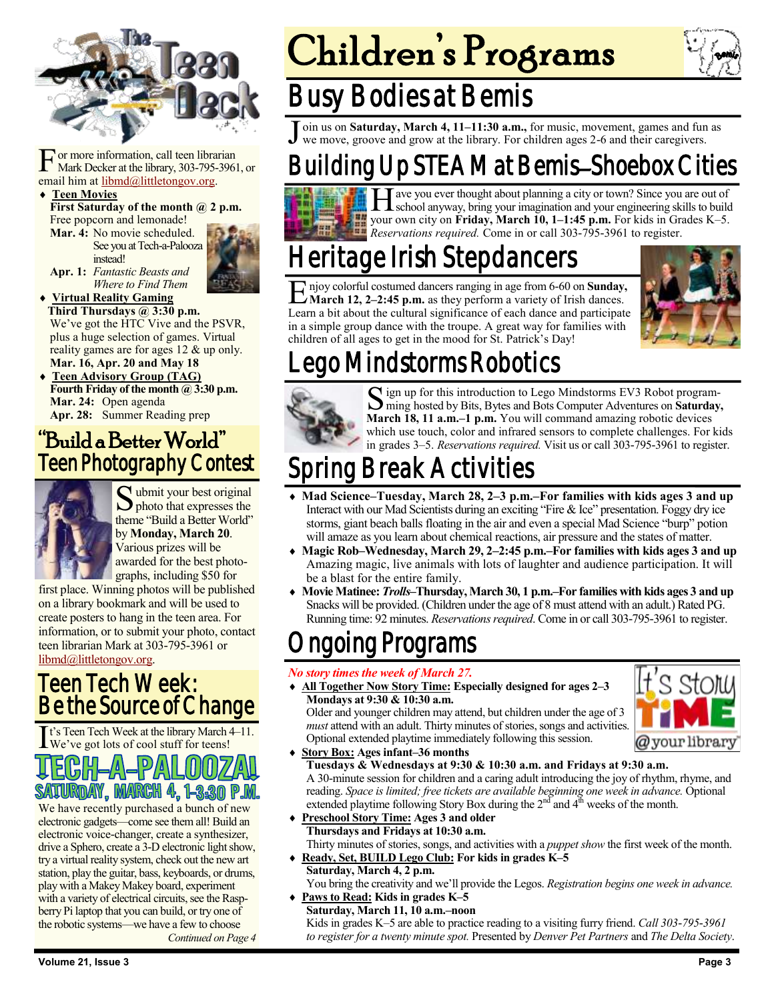

F or more information, call teen libra<br>
Mark Decker at the library, 303-795-<br>
email him at <u>libmd@littletongov.org</u>. or more information, call teen librarian Mark Decker at the library, 303-795-3961, or

#### **Teen Movies**

First Saturday of the month @ 2 p.m. Free popcorn and lemonade!

**Mar. 4:** No movie scheduled. See you at Tech-a-Palooza

instead!



**Apr. 1:** *Fantastic Beasts and Where to Find Them*

 **Virtual Reality Gaming Third Thursdays @ 3:30 p.m.** We've got the HTC Vive and the PSVR, plus a huge selection of games. Virtual reality games are for ages 12 & up only. **Mar. 16, Apr. 20 and May 18**

 **Teen Advisory Group (TAG) Fourth Friday of the month @ 3:30 p.m. Mar. 24:** Open agenda **Apr. 28:** Summer Reading prep

### "Build a Better World" Teen Photography Contest



S ubmit your best original<br>photo that expresses the  $\sum$  photo that expresses the theme "Build a Better World" by **Monday, March 20**. Various prizes will be awarded for the best photographs, including \$50 for

first place. Winning photos will be published on a library bookmark and will be used to create posters to hang in the teen area. For information, or to submit your photo, contact teen librarian Mark at 303-795-3961 or [libmd@littletongov.org.](mailto:libmd@littletongov.org)

### Teen Tech Week: Be the Source of Change

It's Teen Tech Week at the library March We've got lots of cool stuff for teens! t's Teen Tech Week at the library March 4–11.

# SATURDAY, MARCH 4, 1-3:30 P.

We have recently purchased a bunch of new electronic gadgets—come see them all! Build an electronic voice-changer, create a synthesizer, drive a Sphero, create a 3-D electronic light show, try a virtual reality system, check out the new art station, play the guitar, bass, keyboards, or drums, play with a Makey Makey board, experiment with a variety of electrical circuits, see the Raspberry Pi laptop that you can build, or try one of the robotic systems—we have a few to choose *Continued on Page 4* Children's Programs



### Busy Bodies at Bemis

J oin us on **Saturday, March 4, 11–11:30 a.m.,** for music, movement, games and fun as we move, groove and grow at the library. For children ages 2-6 and their caregivers.

### Building Up STEAM at Bemis–Shoebox Cities



H ave you ever thought about planning a city or town? Since you are out of school anyway, bring your imagination and your engineering skills to build your own city on **Friday, March 10, 1–1:45 p.m.** For kids in Grades K–5. *Reservations required.* Come in or call 303-795-3961 to register.

### leritage Irish Stepdancers

E njoy colorful costumed dancers ranging in age from 6-60 on **Sunday,**<br>Learn a bit about the cultural significance of each dance and participate<br>Learn a bit about the cultural significance of each dance and participate njoy colorful costumed dancers ranging in age from 6-60 on **Sunday, March 12, 2–2:45 p.m.** as they perform a variety of Irish dances. in a simple group dance with the troupe. A great way for families with children of all ages to get in the mood for St. Patrick's Day!



### Lego Mindstorms Robotics



Solign up for this introduction to Lego Mindstorms EV3 Robot program-<br>ming hosted by Bits, Bytes and Bots Computer Adventures on Saturday ming hosted by Bits, Bytes and Bots Computer Adventures on **Saturday, March 18, 11 a.m.–1 p.m.** You will command amazing robotic devices which use touch, color and infrared sensors to complete challenges. For kids in grades 3–5. *Reservations required.* Visit us or call 303-795-3961 to register.

### Spring Break Activities

- **Mad Science–Tuesday, March 28, 2–3 p.m.–For families with kids ages 3 and up** Interact with our Mad Scientists during an exciting "Fire & Ice" presentation. Foggy dry ice storms, giant beach balls floating in the air and even a special Mad Science "burp" potion will amaze as you learn about chemical reactions, air pressure and the states of matter.
- **Magic Rob–Wednesday, March 29, 2–2:45 p.m.–For families with kids ages 3 and up** Amazing magic, live animals with lots of laughter and audience participation. It will be a blast for the entire family.
- **Movie Matinee:** *Trolls–***Thursday, March 30, 1 p.m.–For families with kids ages 3 and up** Snacks will be provided. (Children under the age of 8 must attend with an adult.) Rated PG. Running time: 92 minutes. *Reservations required*. Come in or call 303-795-3961 to register.

### loing Programs

#### *No story times the week of March 27.*

 **All Together Now Story Time: Especially designed for ages 2–3 Mondays at 9:30 & 10:30 a.m.**

Older and younger children may attend, but children under the age of 3 *must* attend with an adult. Thirty minutes of stories, songs and activities. Optional extended playtime immediately following this session.



**Story Box: Ages infant–36 months**

**Tuesdays & Wednesdays at 9:30 & 10:30 a.m. and Fridays at 9:30 a.m.** A 30-minute session for children and a caring adult introducing the joy of rhythm, rhyme, and reading. *Space is limited; free tickets are available beginning one week in advance.* Optional extended playtime following Story Box during the  $2<sup>nd</sup>$  and  $4<sup>th</sup>$  weeks of the month.

- **Preschool Story Time: Ages 3 and older Thursdays and Fridays at 10:30 a.m.** Thirty minutes of stories, songs, and activities with a *puppet show* the first week of the month.
- **Ready, Set, BUILD Lego Club: For kids in grades K–5 Saturday, March 4, 2 p.m.**

You bring the creativity and we'll provide the Legos. *Registration begins one week in advance.* **Paws to Read: Kids in grades K–5**

**Saturday, March 11, 10 a.m.–noon** Kids in grades K–5 are able to practice reading to a visiting furry friend. *Call 303-795-3961 to register for a twenty minute spot.* Presented by *Denver Pet Partners* and *The Delta Society*.